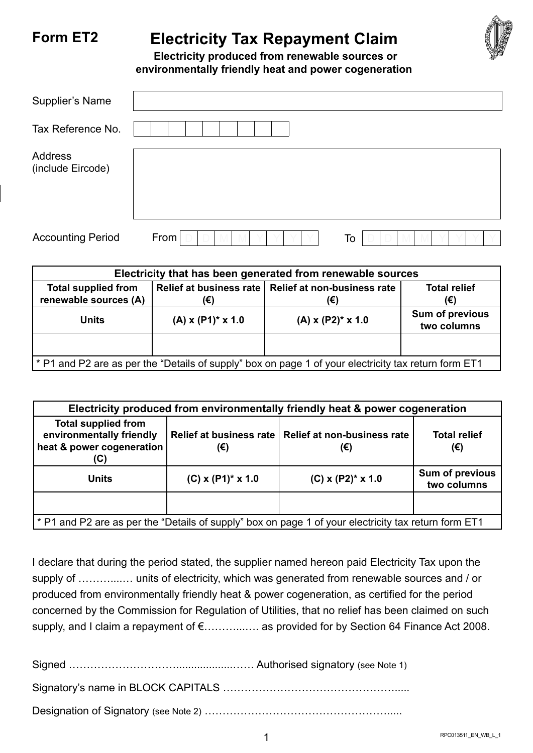## **Form ET2 Electricity Tax Repayment Claim**



 **Electricity produced from renewable sources or environmentally friendly heat and power cogeneration**

| Supplier's Name              |            |
|------------------------------|------------|
| Tax Reference No.            |            |
| Address<br>(include Eircode) |            |
| <b>Accounting Period</b>     | From<br>To |

| Electricity that has been generated from renewable sources                                         |                        |                                                              |                                |  |  |  |
|----------------------------------------------------------------------------------------------------|------------------------|--------------------------------------------------------------|--------------------------------|--|--|--|
| <b>Total supplied from</b><br>renewable sources (A)                                                | (€)                    | Relief at business rate   Relief at non-business rate<br>(€) | <b>Total relief</b><br>(€)     |  |  |  |
| Units                                                                                              | $(A)$ x $(P1)^*$ x 1.0 | $(A)$ x $(P2)^*$ x 1.0                                       | Sum of previous<br>two columns |  |  |  |
|                                                                                                    |                        |                                                              |                                |  |  |  |
| P1 and P2 are as per the "Details of supply" box on page 1 of your electricity tax return form ET1 |                        |                                                              |                                |  |  |  |

| Electricity produced from environmentally friendly heat & power cogeneration                         |                        |                                                              |                                |  |  |  |
|------------------------------------------------------------------------------------------------------|------------------------|--------------------------------------------------------------|--------------------------------|--|--|--|
| <b>Total supplied from</b><br>environmentally friendly<br>heat & power cogeneration<br>(C)           | (€)                    | Relief at business rate   Relief at non-business rate<br>(€) | <b>Total relief</b><br>(€)     |  |  |  |
| <b>Units</b>                                                                                         | $(C)$ x $(P1)^*$ x 1.0 | $(C)$ x $(P2)^*$ x 1.0                                       | Sum of previous<br>two columns |  |  |  |
|                                                                                                      |                        |                                                              |                                |  |  |  |
| * P1 and P2 are as per the "Details of supply" box on page 1 of your electricity tax return form ET1 |                        |                                                              |                                |  |  |  |

I declare that during the period stated, the supplier named hereon paid Electricity Tax upon the supply of ................. units of electricity, which was generated from renewable sources and / or produced from environmentally friendly heat & power cogeneration, as certified for the period concerned by the Commission for Regulation of Utilities, that no relief has been claimed on such supply, and I claim a repayment of €…………….. as provided for by Section 64 Finance Act 2008.

Signed …………………………...................…… Authorised signatory (see Note 1)

Signatory's name in BLOCK CAPITALS ………………………………………….....

Designation of Signatory (see Note 2) …………………………………………….....